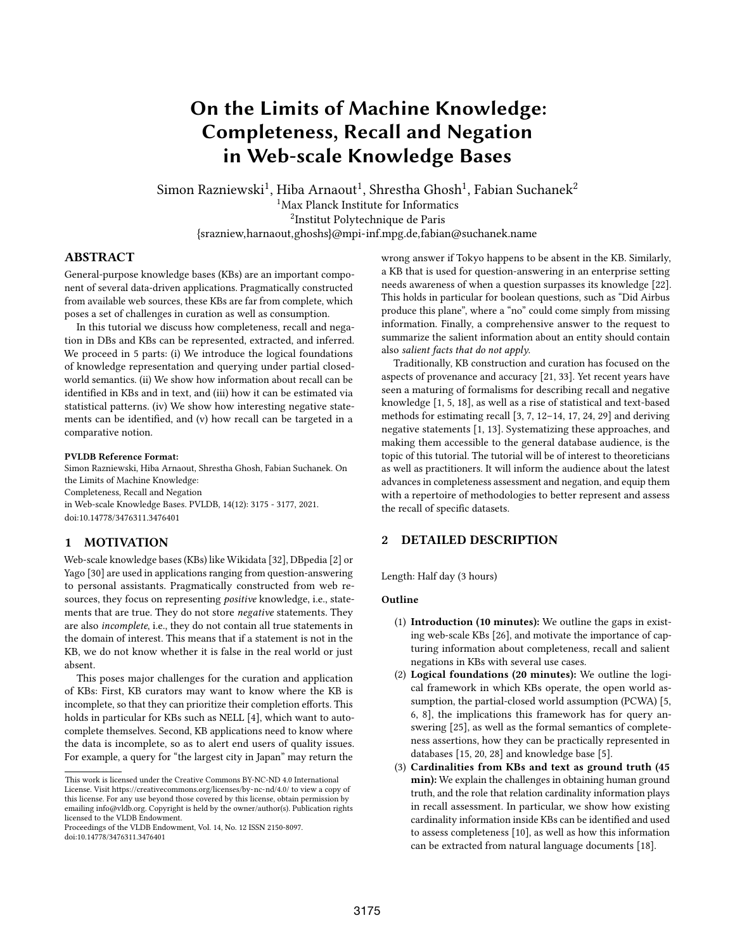# On the Limits of Machine Knowledge: Completeness, Recall and Negation in Web-scale Knowledge Bases

Simon Razniewski $^1$ , Hiba Arnaout $^1$ , Shrestha Ghosh $^1$ , Fabian Suchanek $^2$ <sup>1</sup>Max Planck Institute for Informatics

2 Institut Polytechnique de Paris

{srazniew,harnaout,ghoshs}@mpi-inf.mpg.de,fabian@suchanek.name

# ABSTRACT

General-purpose knowledge bases (KBs) are an important component of several data-driven applications. Pragmatically constructed from available web sources, these KBs are far from complete, which poses a set of challenges in curation as well as consumption.

In this tutorial we discuss how completeness, recall and negation in DBs and KBs can be represented, extracted, and inferred. We proceed in 5 parts: (i) We introduce the logical foundations of knowledge representation and querying under partial closedworld semantics. (ii) We show how information about recall can be identified in KBs and in text, and (iii) how it can be estimated via statistical patterns. (iv) We show how interesting negative statements can be identified, and (v) how recall can be targeted in a comparative notion.

#### PVLDB Reference Format:

Simon Razniewski, Hiba Arnaout, Shrestha Ghosh, Fabian Suchanek. On the Limits of Machine Knowledge: Completeness, Recall and Negation in Web-scale Knowledge Bases. PVLDB, 14(12): 3175 - 3177, 2021.

[doi:10.14778/3476311.3476401](https://doi.org/10.14778/3476311.3476401)

# 1 MOTIVATION

Web-scale knowledge bases (KBs) like Wikidata [32], DBpedia [2] or Yago [30] are used in applications ranging from question-answering to personal assistants. Pragmatically constructed from web resources, they focus on representing positive knowledge, i.e., statements that are true. They do not store negative statements. They are also incomplete, i.e., they do not contain all true statements in the domain of interest. This means that if a statement is not in the KB, we do not know whether it is false in the real world or just absent.

This poses major challenges for the curation and application of KBs: First, KB curators may want to know where the KB is incomplete, so that they can prioritize their completion efforts. This holds in particular for KBs such as NELL [4], which want to autocomplete themselves. Second, KB applications need to know where the data is incomplete, so as to alert end users of quality issues. For example, a query for "the largest city in Japan" may return the

wrong answer if Tokyo happens to be absent in the KB. Similarly, a KB that is used for question-answering in an enterprise setting needs awareness of when a question surpasses its knowledge [22]. This holds in particular for boolean questions, such as "Did Airbus produce this plane", where a "no" could come simply from missing information. Finally, a comprehensive answer to the request to summarize the salient information about an entity should contain also salient facts that do not apply.

Traditionally, KB construction and curation has focused on the aspects of provenance and accuracy [21, 33]. Yet recent years have seen a maturing of formalisms for describing recall and negative knowledge [1, 5, 18], as well as a rise of statistical and text-based methods for estimating recall [3, 7, 12–14, 17, 24, 29] and deriving negative statements [1, 13]. Systematizing these approaches, and making them accessible to the general database audience, is the topic of this tutorial. The tutorial will be of interest to theoreticians as well as practitioners. It will inform the audience about the latest advances in completeness assessment and negation, and equip them with a repertoire of methodologies to better represent and assess the recall of specific datasets.

# 2 DETAILED DESCRIPTION

Length: Half day (3 hours)

# **Outline**

- (1) Introduction (10 minutes): We outline the gaps in existing web-scale KBs [26], and motivate the importance of capturing information about completeness, recall and salient negations in KBs with several use cases.
- (2) Logical foundations (20 minutes): We outline the logical framework in which KBs operate, the open world assumption, the partial-closed world assumption (PCWA) [5, 6, 8], the implications this framework has for query answering [25], as well as the formal semantics of completeness assertions, how they can be practically represented in databases [15, 20, 28] and knowledge base [5].
- (3) Cardinalities from KBs and text as ground truth (45 min): We explain the challenges in obtaining human ground truth, and the role that relation cardinality information plays in recall assessment. In particular, we show how existing cardinality information inside KBs can be identified and used to assess completeness [10], as well as how this information can be extracted from natural language documents [18].

This work is licensed under the Creative Commons BY-NC-ND 4.0 International License. Visit<https://creativecommons.org/licenses/by-nc-nd/4.0/> to view a copy of this license. For any use beyond those covered by this license, obtain permission by emailing [info@vldb.org.](mailto:info@vldb.org) Copyright is held by the owner/author(s). Publication rights licensed to the VLDB Endowment.

Proceedings of the VLDB Endowment, Vol. 14, No. 12 ISSN 2150-8097. [doi:10.14778/3476311.3476401](https://doi.org/10.14778/3476311.3476401)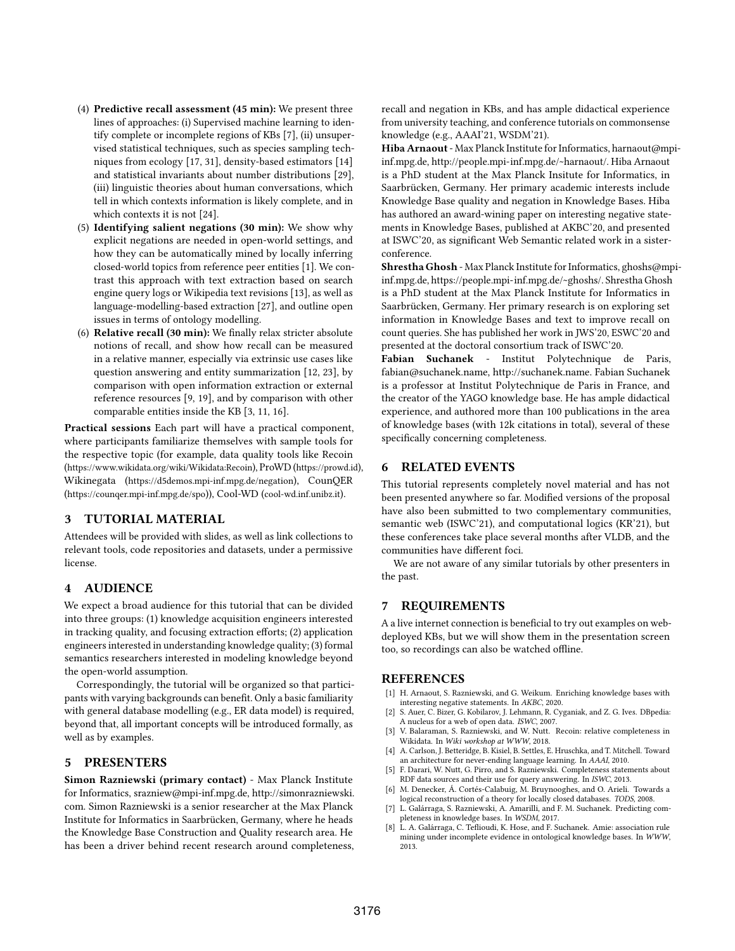- (4) Predictive recall assessment (45 min): We present three lines of approaches: (i) Supervised machine learning to identify complete or incomplete regions of KBs [7], (ii) unsupervised statistical techniques, such as species sampling techniques from ecology [17, 31], density-based estimators [14] and statistical invariants about number distributions [29], (iii) linguistic theories about human conversations, which tell in which contexts information is likely complete, and in which contexts it is not [24].
- (5) Identifying salient negations (30 min): We show why explicit negations are needed in open-world settings, and how they can be automatically mined by locally inferring closed-world topics from reference peer entities [1]. We contrast this approach with text extraction based on search engine query logs or Wikipedia text revisions [13], as well as language-modelling-based extraction [27], and outline open issues in terms of ontology modelling.
- (6) Relative recall (30 min): We finally relax stricter absolute notions of recall, and show how recall can be measured in a relative manner, especially via extrinsic use cases like question answering and entity summarization [12, 23], by comparison with open information extraction or external reference resources [9, 19], and by comparison with other comparable entities inside the KB [3, 11, 16].

Practical sessions Each part will have a practical component, where participants familiarize themselves with sample tools for the respective topic (for example, data quality tools like Recoin (https://www.wikidata.org/wiki/Wikidata:Recoin), ProWD (https://prowd.id), Wikinegata (https://d5demos.mpi-inf.mpg.de/negation), CounQER (https://counqer.mpi-inf.mpg.de/spo)), Cool-WD (cool-wd.inf.unibz.it).

# 3 TUTORIAL MATERIAL

Attendees will be provided with slides, as well as link collections to relevant tools, code repositories and datasets, under a permissive license.

# 4 AUDIENCE

We expect a broad audience for this tutorial that can be divided into three groups: (1) knowledge acquisition engineers interested in tracking quality, and focusing extraction efforts; (2) application engineers interested in understanding knowledge quality; (3) formal semantics researchers interested in modeling knowledge beyond the open-world assumption.

Correspondingly, the tutorial will be organized so that participants with varying backgrounds can benefit. Only a basic familiarity with general database modelling (e.g., ER data model) is required, beyond that, all important concepts will be introduced formally, as well as by examples.

# 5 PRESENTERS

Simon Razniewski (primary contact) - Max Planck Institute for Informatics, srazniew@mpi-inf.mpg.de, [http://simonrazniewski.](http://simonrazniewski.com) [com.](http://simonrazniewski.com) Simon Razniewski is a senior researcher at the Max Planck Institute for Informatics in Saarbrücken, Germany, where he heads the Knowledge Base Construction and Quality research area. He has been a driver behind recent research around completeness, recall and negation in KBs, and has ample didactical experience from university teaching, and conference tutorials on commonsense knowledge (e.g., AAAI'21, WSDM'21).

Hiba Arnaout - Max Planck Institute for Informatics, harnaout@mpiinf.mpg.de, [http://people.mpi-inf.mpg.de/~harnaout/.](http://people.mpi-inf.mpg.de/~harnaout/) Hiba Arnaout is a PhD student at the Max Planck Insitute for Informatics, in Saarbrücken, Germany. Her primary academic interests include Knowledge Base quality and negation in Knowledge Bases. Hiba has authored an award-wining paper on interesting negative statements in Knowledge Bases, published at AKBC'20, and presented at ISWC'20, as significant Web Semantic related work in a sisterconference.

Shrestha Ghosh - Max Planck Institute for Informatics, ghoshs@mpiinf.mpg.de, [https://people.mpi-inf.mpg.de/~ghoshs/.](https://people.mpi-inf.mpg.de/~ghoshs/) Shrestha Ghosh is a PhD student at the Max Planck Institute for Informatics in Saarbrücken, Germany. Her primary research is on exploring set information in Knowledge Bases and text to improve recall on count queries. She has published her work in JWS'20, ESWC'20 and presented at the doctoral consortium track of ISWC'20.

Fabian Suchanek - Institut Polytechnique de Paris, fabian@suchanek.name, [http://suchanek.name.](http://suchanek.name) Fabian Suchanek is a professor at Institut Polytechnique de Paris in France, and the creator of the YAGO knowledge base. He has ample didactical experience, and authored more than 100 publications in the area of knowledge bases (with 12k citations in total), several of these specifically concerning completeness.

# 6 RELATED EVENTS

This tutorial represents completely novel material and has not been presented anywhere so far. Modified versions of the proposal have also been submitted to two complementary communities, semantic web (ISWC'21), and computational logics (KR'21), but these conferences take place several months after VLDB, and the communities have different foci.

We are not aware of any similar tutorials by other presenters in the past.

# 7 REQUIREMENTS

A a live internet connection is beneficial to try out examples on webdeployed KBs, but we will show them in the presentation screen too, so recordings can also be watched offline.

# **REFERENCES**

- [1] H. Arnaout, S. Razniewski, and G. Weikum. Enriching knowledge bases with interesting negative statements. In AKBC, 2020.
- S. Auer, C. Bizer, G. Kobilarov, J. Lehmann, R. Cyganiak, and Z. G. Ives. DBpedia: A nucleus for a web of open data. ISWC, 2007.
- [3] V. Balaraman, S. Razniewski, and W. Nutt. Recoin: relative completeness in Wikidata. In Wiki workshop at WWW, 2018.
- [4] A. Carlson, J. Betteridge, B. Kisiel, B. Settles, E. Hruschka, and T. Mitchell. Toward an architecture for never-ending language learning. In AAAI, 2010.
- [5] F. Darari, W. Nutt, G. Pirro, and S. Razniewski. Completeness statements about RDF data sources and their use for query answering. In ISWC, 2013.
- [6] M. Denecker, Á. Cortés-Calabuig, M. Bruynooghes, and O. Arieli. Towards a logical reconstruction of a theory for locally closed databases. TODS, 2008. L. Galárraga, S. Razniewski, A. Amarilli, and F. M. Suchanek. Predicting com-
- pleteness in knowledge bases. In WSDM, 2017.
- L. A. Galárraga, C. Teflioudi, K. Hose, and F. Suchanek. Amie: association rule mining under incomplete evidence in ontological knowledge bases. In WWW, 2013.